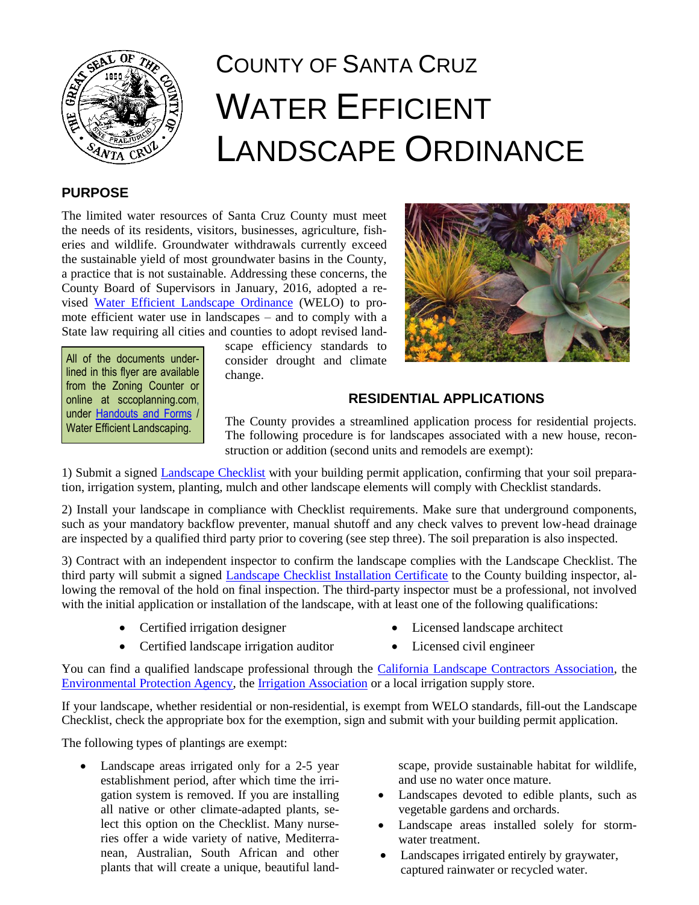

# COUNTY OF SANTA CRUZ WATER EFFICIENT LANDSCAPE ORDINANCE

## **PURPOSE**

The limited water resources of Santa Cruz County must meet the needs of its residents, visitors, businesses, agriculture, fisheries and wildlife. Groundwater withdrawals currently exceed the sustainable yield of most groundwater basins in the County, a practice that is not sustainable. Addressing these concerns, the County Board of Supervisors in January, 2016, adopted a revised [Water Efficient Landscape Ordinance](http://www.sccoplanning.com/Portals/2/County/Planning/policy/WELO_Ordinance_CLEAN_3-1-16.pdf) (WELO) to promote efficient water use in landscapes – and to comply with a State law requiring all cities and counties to adopt revised land-

All of the documents underlined in this flyer are available from the Zoning Counter or online at sccoplanning.com, under [Handouts and Forms](http://www.sccoplanning.com/PlanningHome/HandoutsForms.aspx) / Water Efficient Landscaping.

scape efficiency standards to consider drought and climate change.



## **RESIDENTIAL APPLICATIONS**

The County provides a streamlined application process for residential projects. The following procedure is for landscapes associated with a new house, reconstruction or addition (second units and remodels are exempt):

1) Submit a signed [Landscape Checklist](http://www.sccoplanning.com/Portals/2/County/Planning/policy/WELO Exemption Form and Checklist.pdf) with your building permit application, confirming that your soil preparation, irrigation system, planting, mulch and other landscape elements will comply with Checklist standards.

2) Install your landscape in compliance with Checklist requirements. Make sure that underground components, such as your mandatory backflow preventer, manual shutoff and any check valves to prevent low-head drainage are inspected by a qualified third party prior to covering (see step three). The soil preparation is also inspected.

3) Contract with an independent inspector to confirm the landscape complies with the Landscape Checklist. The third party will submit a signed [Landscape Checklist Installation Certificate](http://www.sccoplanning.com/Portals/2/County/Planning/policy/Water_Efficient_Landscape_Installation_Certificate.pdf) to the County building inspector, allowing the removal of the hold on final inspection. The third-party inspector must be a professional, not involved with the initial application or installation of the landscape, with at least one of the following qualifications:

Certified irrigation designer

- Licensed landscape architect
- Certified landscape irrigation auditor
- Licensed civil engineer

You can find a qualified landscape professional through the [California Landscape Contractors Association,](http://www.clca-cc.org/) the [Environmental Protection Agency,](http://www3.epa.gov/watersense/findapro/) the [Irrigation Association](https://www.irrigation.org/Certification/Find_a_Certified_Professional.aspx) or a local irrigation supply store.

If your landscape, whether residential or non-residential, is exempt from WELO standards, fill-out the Landscape Checklist, check the appropriate box for the exemption, sign and submit with your building permit application.

The following types of plantings are exempt:

 Landscape areas irrigated only for a 2-5 year establishment period, after which time the irrigation system is removed. If you are installing all native or other climate-adapted plants, select this option on the Checklist. Many nurseries offer a wide variety of native, Mediterranean, Australian, South African and other plants that will create a unique, beautiful landscape, provide sustainable habitat for wildlife, and use no water once mature.

- Landscapes devoted to edible plants, such as vegetable gardens and orchards.
- Landscape areas installed solely for stormwater treatment.
- Landscapes irrigated entirely by graywater, captured rainwater or recycled water.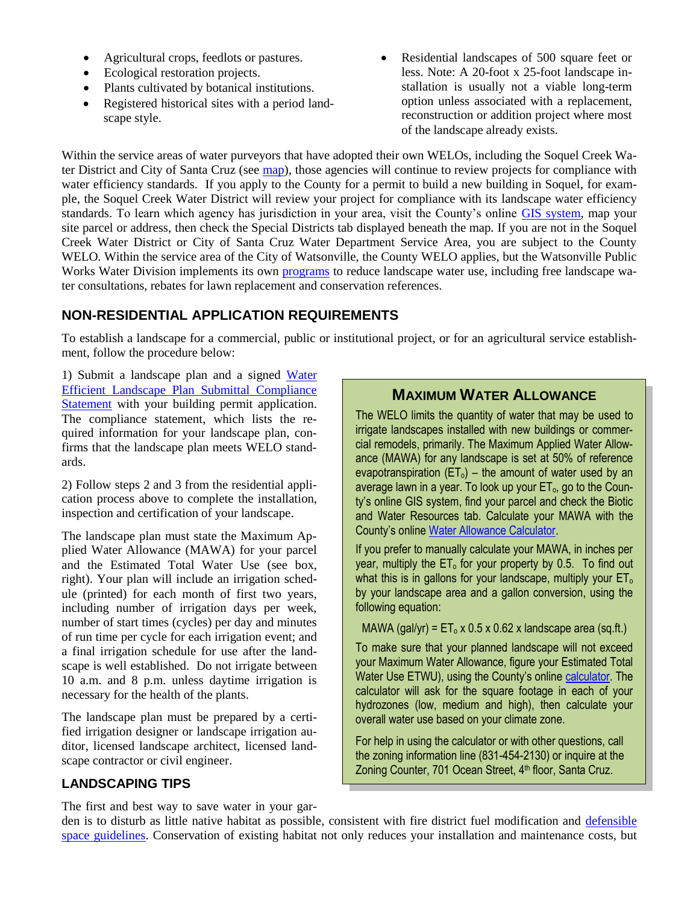- Agricultural crops, feedlots or pastures.
- Ecological restoration projects.
- Plants cultivated by botanical institutions.
- Registered historical sites with a period landscape style.
- Residential landscapes of 500 square feet or less. Note: A 20-foot x 25-foot landscape installation is usually not a viable long-term option unless associated with a replacement, reconstruction or addition project where most of the landscape already exists.

Within the service areas of water purveyors that have adopted their own WELOs, including the Soquel Creek Water District and City of Santa Cruz (see [map\)](http://www.sccoplanning.com/Portals/2/County/Planning/policy/Soquel%20WD%20and%20City%20of%20SC%20WD%20map.pdf), those agencies will continue to review projects for compliance with water efficiency standards. If you apply to the County for a permit to build a new building in Soquel, for example, the Soquel Creek Water District will review your project for compliance with its landscape water efficiency standards. To learn which agency has jurisdiction in your area, visit the County's online [GIS system,](http://gis.co.santa-cruz.ca.us/PublicGISWeb/) map your site parcel or address, then check the Special Districts tab displayed beneath the map. If you are not in the Soquel Creek Water District or City of Santa Cruz Water Department Service Area, you are subject to the County WELO. Within the service area of the City of Watsonville, the County WELO applies, but the Watsonville Public Works Water Division implements its own [programs](http://cityofwatsonville.org/public-works-utilities/water/water-conservation/landscape) to reduce landscape water use, including free landscape water consultations, rebates for lawn replacement and conservation references.

## **NON-RESIDENTIAL APPLICATION REQUIREMENTS**

To establish a landscape for a commercial, public or institutional project, or for an agricultural service establishment, follow the procedure below:

1) Submit a landscape plan and a signed Water [Efficient Landscape Plan Submittal Compliance](http://sccoplanning.com/Portals/2/County/Planning/policy/Water_Efficient_Landscape_Application_Compliance_Statement.pdf)  [Statement](http://sccoplanning.com/Portals/2/County/Planning/policy/Water_Efficient_Landscape_Application_Compliance_Statement.pdf) with your building permit application. The compliance statement, which lists the required information for your landscape plan, confirms that the landscape plan meets WELO standards.

2) Follow steps 2 and 3 from the residential application process above to complete the installation, inspection and certification of your landscape.

The landscape plan must state the Maximum Applied Water Allowance (MAWA) for your parcel and the Estimated Total Water Use (see box, right). Your plan will include an irrigation schedule (printed) for each month of first two years, including number of irrigation days per week, number of start times (cycles) per day and minutes of run time per cycle for each irrigation event; and a final irrigation schedule for use after the landscape is well established. Do not irrigate between 10 a.m. and 8 p.m. unless daytime irrigation is necessary for the health of the plants.

The landscape plan must be prepared by a certified irrigation designer or landscape irrigation auditor, licensed landscape architect, licensed landscape contractor or civil engineer.

## **MAXIMUM WATER ALLOWANCE**

The WELO limits the quantity of water that may be used to irrigate landscapes installed with new buildings or commercial remodels, primarily. The Maximum Applied Water Allowance (MAWA) for any landscape is set at 50% of reference evapotranspiration ( $ET_0$ ) – the amount of water used by an average lawn in a year. To look up your  $ET<sub>o</sub>$ , go to the County's online GIS system, find your parcel and check the Biotic and Water Resources tab. Calculate your MAWA with the County's onlin[e Water Allowance Calculator.](http://www.sccoplanning.com/Portals/2/County/Planning/policy/Calculators.pdf)

If you prefer to manually calculate your MAWA, in inches per year, multiply the  $ET_0$  for your property by 0.5. To find out what this is in gallons for your landscape, multiply your  $ET_0$ by your landscape area and a gallon conversion, using the following equation:

MAWA (gal/yr) =  $ET_0 \times 0.5 \times 0.62 \times$  landscape area (sq.ft.)

To make sure that your planned landscape will not exceed your Maximum Water Allowance, figure your Estimated Total Water Use ETWU), using the County's online [calculator.](http://www.sccoplanning.com/Portals/2/County/Planning/policy/Calculators.pdf) The calculator will ask for the square footage in each of your hydrozones (low, medium and high), then calculate your overall water use based on your climate zone.

For help in using the calculator or with other questions, call the zoning information line (831-454-2130) or inquire at the Zoning Counter, 701 Ocean Street, 4<sup>th</sup> floor, Santa Cruz.

## **LANDSCAPING TIPS**

The first and best way to save water in your gar-

den is to disturb as little native habitat as possible, consistent with fire district fuel modification and defensible [space guidelines.](http://www.sccoplanning.com/Portals/2/County/Planning/env/Defensible%20Space%20FAQs%20.pdf) Conservation of existing habitat not only reduces your installation and maintenance costs, but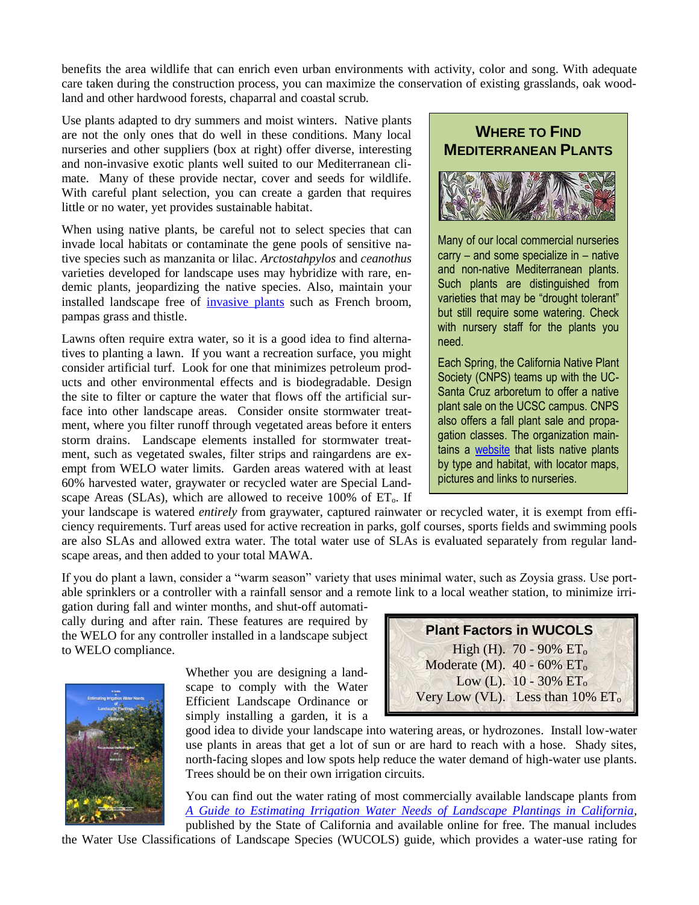benefits the area wildlife that can enrich even urban environments with activity, color and song. With adequate care taken during the construction process, you can maximize the conservation of existing grasslands, oak woodland and other hardwood forests, chaparral and coastal scrub.

Use plants adapted to dry summers and moist winters. Native plants are not the only ones that do well in these conditions. Many local nurseries and other suppliers (box at right) offer diverse, interesting and non-invasive exotic plants well suited to our Mediterranean climate. Many of these provide nectar, cover and seeds for wildlife. With careful plant selection, you can create a garden that requires little or no water, yet provides sustainable habitat.

When using native plants, be careful not to select species that can invade local habitats or contaminate the gene pools of sensitive native species such as manzanita or lilac. *Arctostahpylos* and *ceanothus* varieties developed for landscape uses may hybridize with rare, endemic plants, jeopardizing the native species. Also, maintain your installed landscape free of [invasive plants](http://www.cal-ipc.org/paf/) such as French broom, pampas grass and thistle.

Lawns often require extra water, so it is a good idea to find alternatives to planting a lawn. If you want a recreation surface, you might consider artificial turf. Look for one that minimizes petroleum products and other environmental effects and is biodegradable. Design the site to filter or capture the water that flows off the artificial surface into other landscape areas. Consider onsite stormwater treatment, where you filter runoff through vegetated areas before it enters storm drains. Landscape elements installed for stormwater treatment, such as vegetated swales, filter strips and raingardens are exempt from WELO water limits. Garden areas watered with at least 60% harvested water, graywater or recycled water are Special Landscape Areas (SLAs), which are allowed to receive  $100\%$  of  $ET_0$ . If

## **WHERE TO FIND MEDITERRANEAN PLANTS**



Many of our local commercial nurseries carry – and some specialize in – native and non-native Mediterranean plants. Such plants are distinguished from varieties that may be "drought tolerant" but still require some watering. Check with nursery staff for the plants you need.

Each Spring, the California Native Plant Society (CNPS) teams up with the UC-Santa Cruz arboretum to offer a native plant sale on the UCSC campus. CNPS also offers a fall plant sale and propagation classes. The organization maintains a [website](http://www.cnplx.info/nplx/cprofile?cc=SCR) that lists native plants by type and habitat, with locator maps, pictures and links to nurseries.

your landscape is watered *entirely* from graywater, captured rainwater or recycled water, it is exempt from efficiency requirements. Turf areas used for active recreation in parks, golf courses, sports fields and swimming pools are also SLAs and allowed extra water. The total water use of SLAs is evaluated separately from regular landscape areas, and then added to your total MAWA.

If you do plant a lawn, consider a "warm season" variety that uses minimal water, such as Zoysia grass. Use portable sprinklers or a controller with a rainfall sensor and a remote link to a local weather station, to minimize irri-

gation during fall and winter months, and shut-off automatically during and after rain. These features are required by the WELO for any controller installed in a landscape subject to WELO compliance.

> Whether you are designing a landscape to comply with the Water Efficient Landscape Ordinance or simply installing a garden, it is a

good idea to divide your landscape into watering areas, or hydrozones. Install low-water use plants in areas that get a lot of sun or are hard to reach with a hose. Shady sites, north-facing slopes and low spots help reduce the water demand of high-water use plants. Trees should be on their own irrigation circuits.

You can find out the water rating of most commercially available landscape plants from *[A Guide to Estimating Irrigation Water Needs of Landscape Plantings in California,](http://www.water.ca.gov/wateruseefficiency/docs/wucols00.pdf)*  published by the State of California and available online for free. The manual includes

the Water Use Classifications of Landscape Species (WUCOLS) guide, which provides a water-use rating for



**Plant Factors in WUCOLS** High (H).  $70 - 90\% \text{ ET}_0$ Moderate (M).  $40 - 60\%$   $ET_0$ Low (L).  $10 - 30\% \text{ ET}_0$ Very Low (VL). Less than  $10\%$   $ET_0$